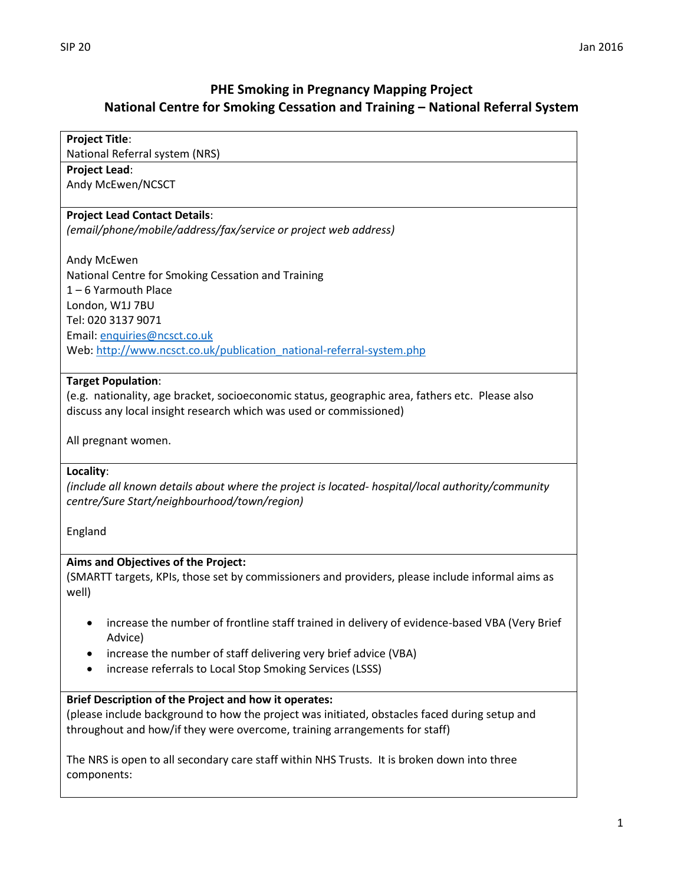## **PHE Smoking in Pregnancy Mapping Project National Centre for Smoking Cessation and Training – National Referral System**

# **Project Title**: National Referral system (NRS) **Project Lead**: Andy McEwen/NCSCT **Project Lead Contact Details**: *(email/phone/mobile/address/fax/service or project web address)* Andy McEwen National Centre for Smoking Cessation and Training 1 – 6 Yarmouth Place London, W1J 7BU Tel: 020 3137 9071 Email[: enquiries@ncsct.co.uk](mailto:enquiries@ncsct.co.uk) Web: [http://www.ncsct.co.uk/publication\\_national-referral-system.php](http://www.ncsct.co.uk/publication_national-referral-system.php) **Target Population**: (e.g. nationality, age bracket, socioeconomic status, geographic area, fathers etc. Please also discuss any local insight research which was used or commissioned) All pregnant women. **Locality**: *(include all known details about where the project is located- hospital/local authority/community centre/Sure Start/neighbourhood/town/region)* England **Aims and Objectives of the Project:** (SMARTT targets, KPIs, those set by commissioners and providers, please include informal aims as well) increase the number of frontline staff trained in delivery of evidence-based VBA (Very Brief Advice) increase the number of staff delivering very brief advice (VBA) • increase referrals to Local Stop Smoking Services (LSSS) **Brief Description of the Project and how it operates:** (please include background to how the project was initiated, obstacles faced during setup and throughout and how/if they were overcome, training arrangements for staff) The NRS is open to all secondary care staff within NHS Trusts. It is broken down into three components: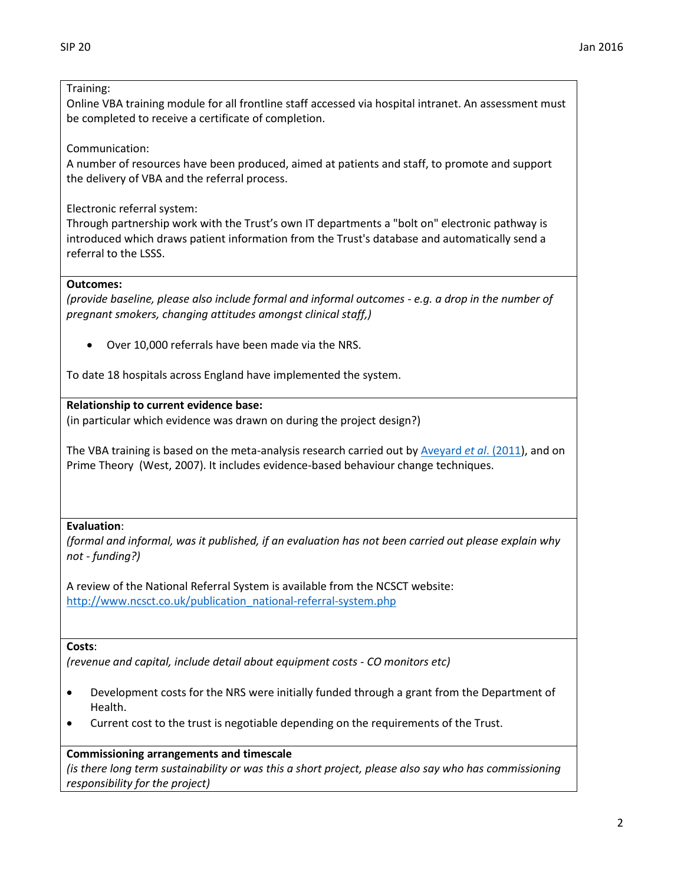#### Training:

Online VBA training module for all frontline staff accessed via hospital intranet. An assessment must be completed to receive a certificate of completion.

Communication:

A number of resources have been produced, aimed at patients and staff, to promote and support the delivery of VBA and the referral process.

Electronic referral system:

Through partnership work with the Trust's own IT departments a "bolt on" electronic pathway is introduced which draws patient information from the Trust's database and automatically send a referral to the LSSS.

#### **Outcomes:**

*(provide baseline, please also include formal and informal outcomes - e.g. a drop in the number of pregnant smokers, changing attitudes amongst clinical staff,)*

Over 10,000 referrals have been made via the NRS.

To date 18 hospitals across England have implemented the system.

#### **Relationship to current evidence base:**

(in particular which evidence was drawn on during the project design?)

The VBA training is based on the meta-analysis research carried out b[y Aveyard](https://www.researchgate.net/publication/51885457_Brief_opportunistic_smoking_cessation_interventions_A_systematic_review_and_meta-analysis_to_compare_advice_to_quit_and_offer_of_assistance_Addiction_no_available_from_httpdxdoiorg101111j1360-04432011) *et al*. (2011), and on Prime Theory (West, 2007). It includes evidence-based behaviour change techniques.

#### **Evaluation**:

*(formal and informal, was it published, if an evaluation has not been carried out please explain why not - funding?)*

A review of the National Referral System is available from the NCSCT website: [http://www.ncsct.co.uk/publication\\_national-referral-system.php](http://www.ncsct.co.uk/publication_national-referral-system.php)

#### **Costs**:

*(revenue and capital, include detail about equipment costs - CO monitors etc)*

- Development costs for the NRS were initially funded through a grant from the Department of Health.
- Current cost to the trust is negotiable depending on the requirements of the Trust.

#### **Commissioning arrangements and timescale**

*(is there long term sustainability or was this a short project, please also say who has commissioning responsibility for the project)*